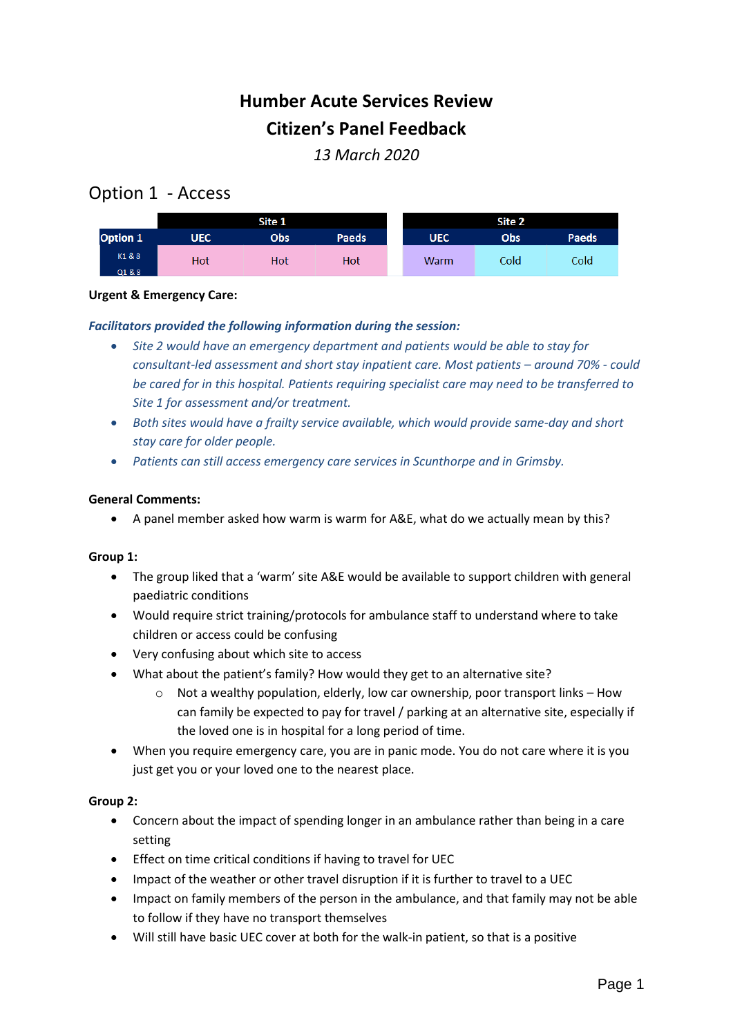# **Humber Acute Services Review Citizen's Panel Feedback**

*13 March 2020*

## Option 1 - Access

|                 | Site 1     |            |              | Site 2     |            |              |  |
|-----------------|------------|------------|--------------|------------|------------|--------------|--|
| <b>Option 1</b> | <b>UEC</b> | <b>Obs</b> | <b>Paeds</b> | <b>UEC</b> | <b>Obs</b> | <b>Paeds</b> |  |
| K1&8            | Hot        | Hot        | <b>Hot</b>   | Warm       | Cold       | Cold         |  |
| Q1 & 8          |            |            |              |            |            |              |  |

## **Urgent & Emergency Care:**

## *Facilitators provided the following information during the session:*

- *Site 2 would have an emergency department and patients would be able to stay for consultant-led assessment and short stay inpatient care. Most patients – around 70% - could be cared for in this hospital. Patients requiring specialist care may need to be transferred to Site 1 for assessment and/or treatment.*
- *Both sites would have a frailty service available, which would provide same-day and short stay care for older people.*
- *Patients can still access emergency care services in Scunthorpe and in Grimsby.*

## **General Comments:**

A panel member asked how warm is warm for A&E, what do we actually mean by this?

## **Group 1:**

- The group liked that a 'warm' site A&E would be available to support children with general paediatric conditions
- Would require strict training/protocols for ambulance staff to understand where to take children or access could be confusing
- Very confusing about which site to access
- What about the patient's family? How would they get to an alternative site?
	- o Not a wealthy population, elderly, low car ownership, poor transport links How can family be expected to pay for travel / parking at an alternative site, especially if the loved one is in hospital for a long period of time.
- When you require emergency care, you are in panic mode. You do not care where it is you just get you or your loved one to the nearest place.

- Concern about the impact of spending longer in an ambulance rather than being in a care setting
- Effect on time critical conditions if having to travel for UEC
- Impact of the weather or other travel disruption if it is further to travel to a UEC
- Impact on family members of the person in the ambulance, and that family may not be able to follow if they have no transport themselves
- Will still have basic UEC cover at both for the walk-in patient, so that is a positive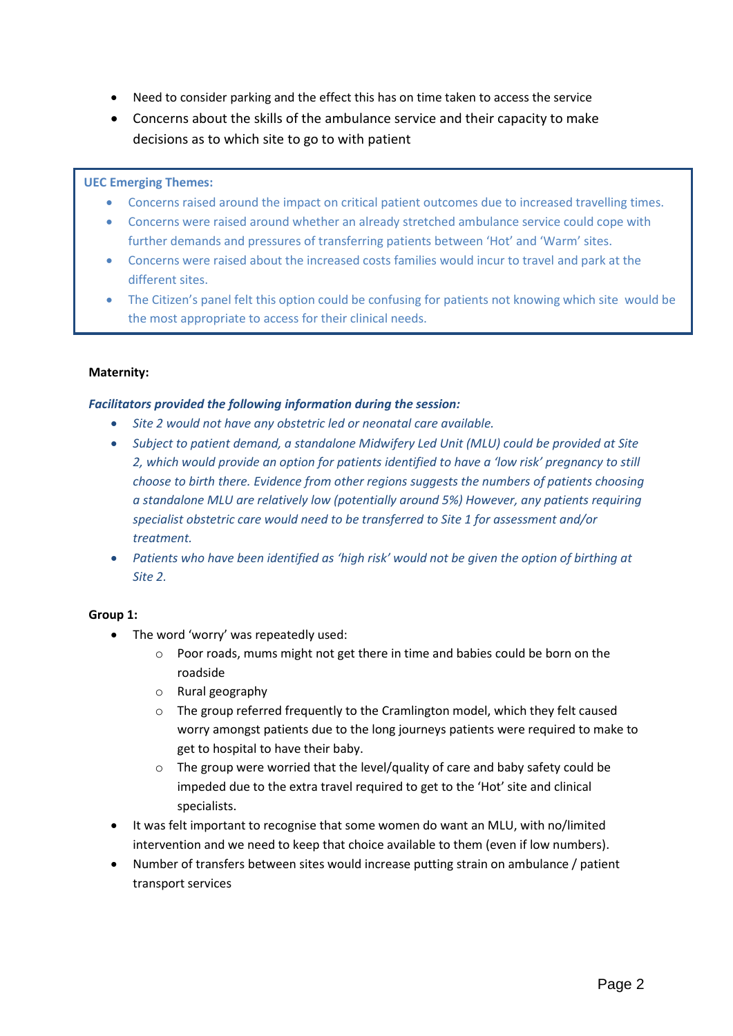- Need to consider parking and the effect this has on time taken to access the service
- Concerns about the skills of the ambulance service and their capacity to make decisions as to which site to go to with patient

## **UEC Emerging Themes:**

- Concerns raised around the impact on critical patient outcomes due to increased travelling times.
- Concerns were raised around whether an already stretched ambulance service could cope with further demands and pressures of transferring patients between 'Hot' and 'Warm' sites.
- Concerns were raised about the increased costs families would incur to travel and park at the different sites.
- The Citizen's panel felt this option could be confusing for patients not knowing which site would be the most appropriate to access for their clinical needs.

## **Maternity:**

## *Facilitators provided the following information during the session:*

- *Site 2 would not have any obstetric led or neonatal care available.*
- *Subject to patient demand, a standalone Midwifery Led Unit (MLU) could be provided at Site 2, which would provide an option for patients identified to have a 'low risk' pregnancy to still choose to birth there. Evidence from other regions suggests the numbers of patients choosing a standalone MLU are relatively low (potentially around 5%) However, any patients requiring specialist obstetric care would need to be transferred to Site 1 for assessment and/or treatment.*
- *Patients who have been identified as 'high risk' would not be given the option of birthing at Site 2.*

## **Group 1:**

- The word 'worry' was repeatedly used:
	- o Poor roads, mums might not get there in time and babies could be born on the roadside
	- o Rural geography
	- $\circ$  The group referred frequently to the Cramlington model, which they felt caused worry amongst patients due to the long journeys patients were required to make to get to hospital to have their baby.
	- o The group were worried that the level/quality of care and baby safety could be impeded due to the extra travel required to get to the 'Hot' site and clinical specialists.
- It was felt important to recognise that some women do want an MLU, with no/limited intervention and we need to keep that choice available to them (even if low numbers).
- Number of transfers between sites would increase putting strain on ambulance / patient transport services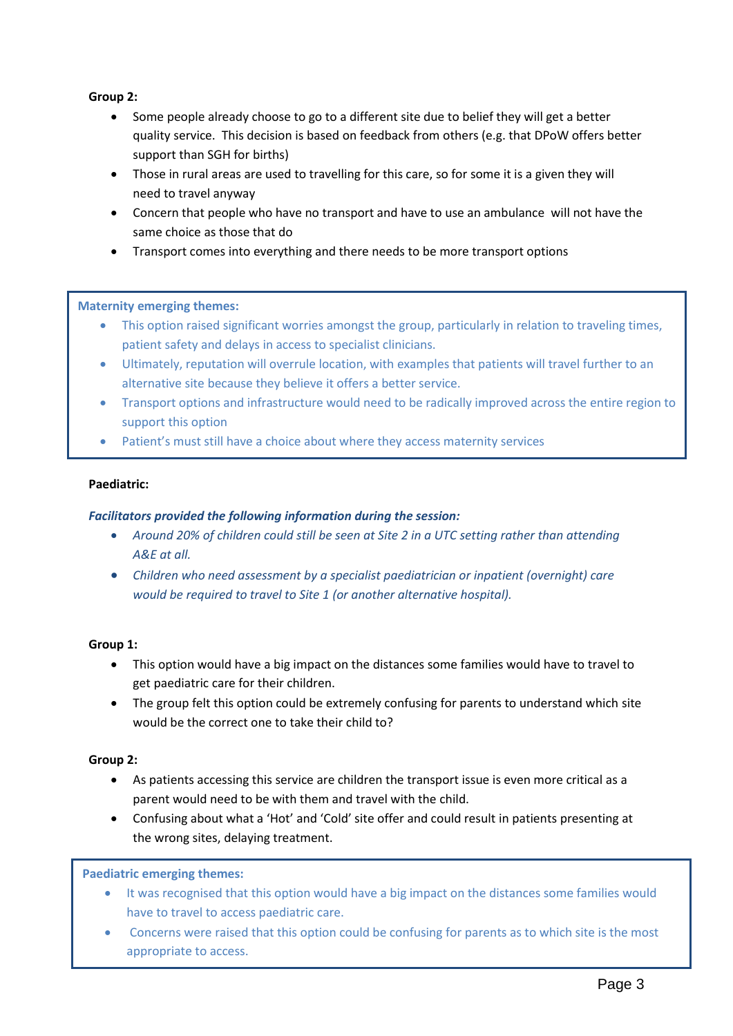## **Group 2:**

- Some people already choose to go to a different site due to belief they will get a better quality service. This decision is based on feedback from others (e.g. that DPoW offers better support than SGH for births)
- Those in rural areas are used to travelling for this care, so for some it is a given they will need to travel anyway
- Concern that people who have no transport and have to use an ambulance will not have the same choice as those that do
- Transport comes into everything and there needs to be more transport options

## **Maternity emerging themes:**

- This option raised significant worries amongst the group, particularly in relation to traveling times, patient safety and delays in access to specialist clinicians.
- Ultimately, reputation will overrule location, with examples that patients will travel further to an alternative site because they believe it offers a better service.
- Transport options and infrastructure would need to be radically improved across the entire region to support this option
- Patient's must still have a choice about where they access maternity services

## **Paediatric:**

## *Facilitators provided the following information during the session:*

- *Around 20% of children could still be seen at Site 2 in a UTC setting rather than attending A&E at all.*
- *Children who need assessment by a specialist paediatrician or inpatient (overnight) care would be required to travel to Site 1 (or another alternative hospital).*

## **Group 1:**

- This option would have a big impact on the distances some families would have to travel to get paediatric care for their children.
- The group felt this option could be extremely confusing for parents to understand which site would be the correct one to take their child to?

### **Group 2:**

- As patients accessing this service are children the transport issue is even more critical as a parent would need to be with them and travel with the child.
- Confusing about what a 'Hot' and 'Cold' site offer and could result in patients presenting at the wrong sites, delaying treatment.

- It was recognised that this option would have a big impact on the distances some families would have to travel to access paediatric care.
- Concerns were raised that this option could be confusing for parents as to which site is the most appropriate to access.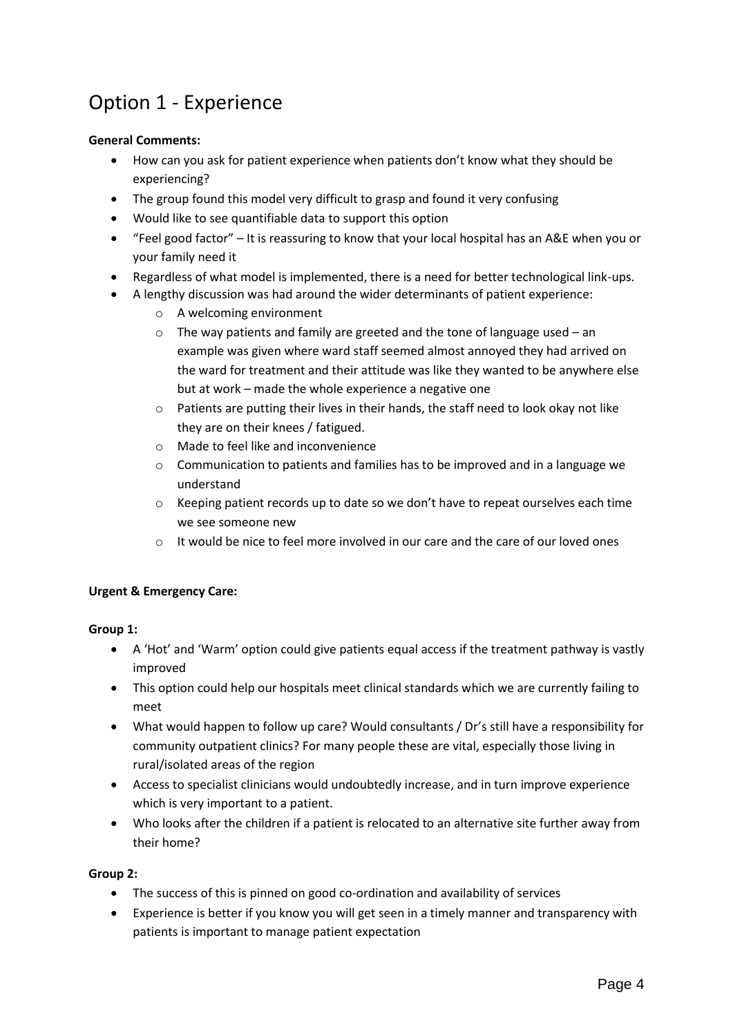# Option 1 - Experience

## **General Comments:**

- How can you ask for patient experience when patients don't know what they should be experiencing?
- The group found this model very difficult to grasp and found it very confusing
- Would like to see quantifiable data to support this option
- "Feel good factor" It is reassuring to know that your local hospital has an A&E when you or your family need it
- Regardless of what model is implemented, there is a need for better technological link-ups.
- A lengthy discussion was had around the wider determinants of patient experience:
	- o A welcoming environment
	- o The way patients and family are greeted and the tone of language used an example was given where ward staff seemed almost annoyed they had arrived on the ward for treatment and their attitude was like they wanted to be anywhere else but at work – made the whole experience a negative one
	- $\circ$  Patients are putting their lives in their hands, the staff need to look okay not like they are on their knees / fatigued.
	- o Made to feel like and inconvenience
	- $\circ$  Communication to patients and families has to be improved and in a language we understand
	- o Keeping patient records up to date so we don't have to repeat ourselves each time we see someone new
	- $\circ$  It would be nice to feel more involved in our care and the care of our loved ones

## **Urgent & Emergency Care:**

## **Group 1:**

- A 'Hot' and 'Warm' option could give patients equal access if the treatment pathway is vastly improved
- This option could help our hospitals meet clinical standards which we are currently failing to meet
- What would happen to follow up care? Would consultants / Dr's still have a responsibility for community outpatient clinics? For many people these are vital, especially those living in rural/isolated areas of the region
- Access to specialist clinicians would undoubtedly increase, and in turn improve experience which is very important to a patient.
- Who looks after the children if a patient is relocated to an alternative site further away from their home?

- The success of this is pinned on good co-ordination and availability of services
- Experience is better if you know you will get seen in a timely manner and transparency with patients is important to manage patient expectation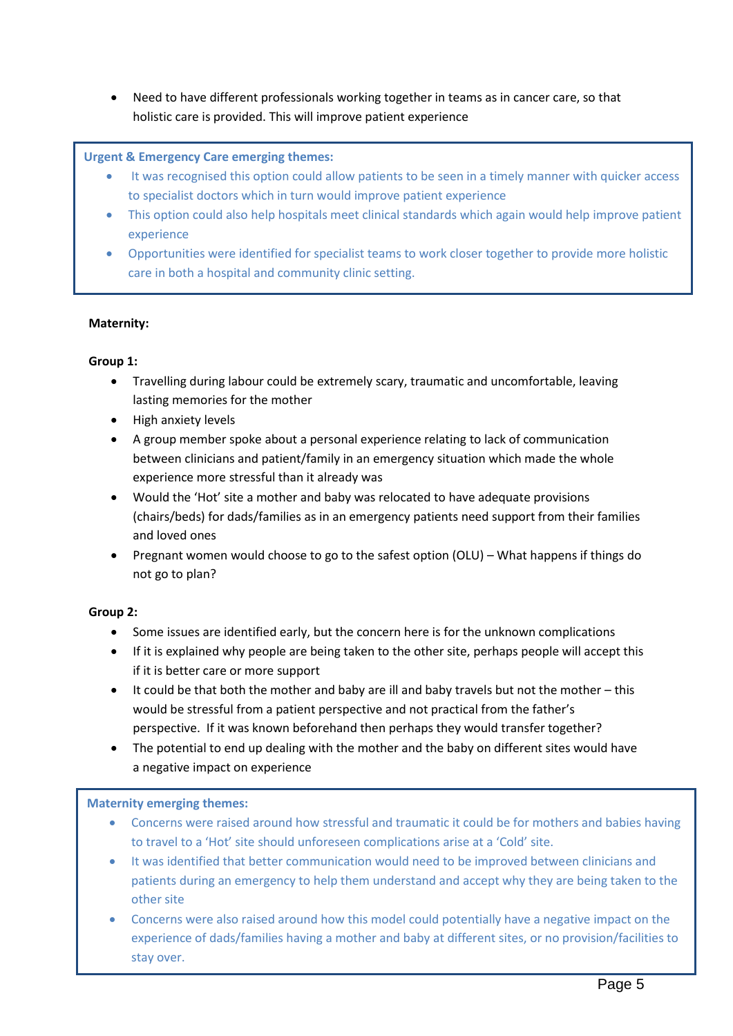Need to have different professionals working together in teams as in cancer care, so that holistic care is provided. This will improve patient experience

## **Urgent & Emergency Care emerging themes:**

- It was recognised this option could allow patients to be seen in a timely manner with quicker access to specialist doctors which in turn would improve patient experience
- This option could also help hospitals meet clinical standards which again would help improve patient experience
- Opportunities were identified for specialist teams to work closer together to provide more holistic care in both a hospital and community clinic setting.

### **Maternity:**

### **Group 1:**

- Travelling during labour could be extremely scary, traumatic and uncomfortable, leaving lasting memories for the mother
- High anxiety levels
- A group member spoke about a personal experience relating to lack of communication between clinicians and patient/family in an emergency situation which made the whole experience more stressful than it already was
- Would the 'Hot' site a mother and baby was relocated to have adequate provisions (chairs/beds) for dads/families as in an emergency patients need support from their families and loved ones
- Pregnant women would choose to go to the safest option (OLU) What happens if things do not go to plan?

### **Group 2:**

- Some issues are identified early, but the concern here is for the unknown complications
- If it is explained why people are being taken to the other site, perhaps people will accept this if it is better care or more support
- It could be that both the mother and baby are ill and baby travels but not the mother this would be stressful from a patient perspective and not practical from the father's perspective. If it was known beforehand then perhaps they would transfer together?
- The potential to end up dealing with the mother and the baby on different sites would have a negative impact on experience

### **Maternity emerging themes:**

- Concerns were raised around how stressful and traumatic it could be for mothers and babies having to travel to a 'Hot' site should unforeseen complications arise at a 'Cold' site.
- It was identified that better communication would need to be improved between clinicians and patients during an emergency to help them understand and accept why they are being taken to the other site
- **•** Concerns were also raised around how this model could potentially have a negative impact on the experience of dads/families having a mother and baby at different sites, or no provision/facilities to stay over.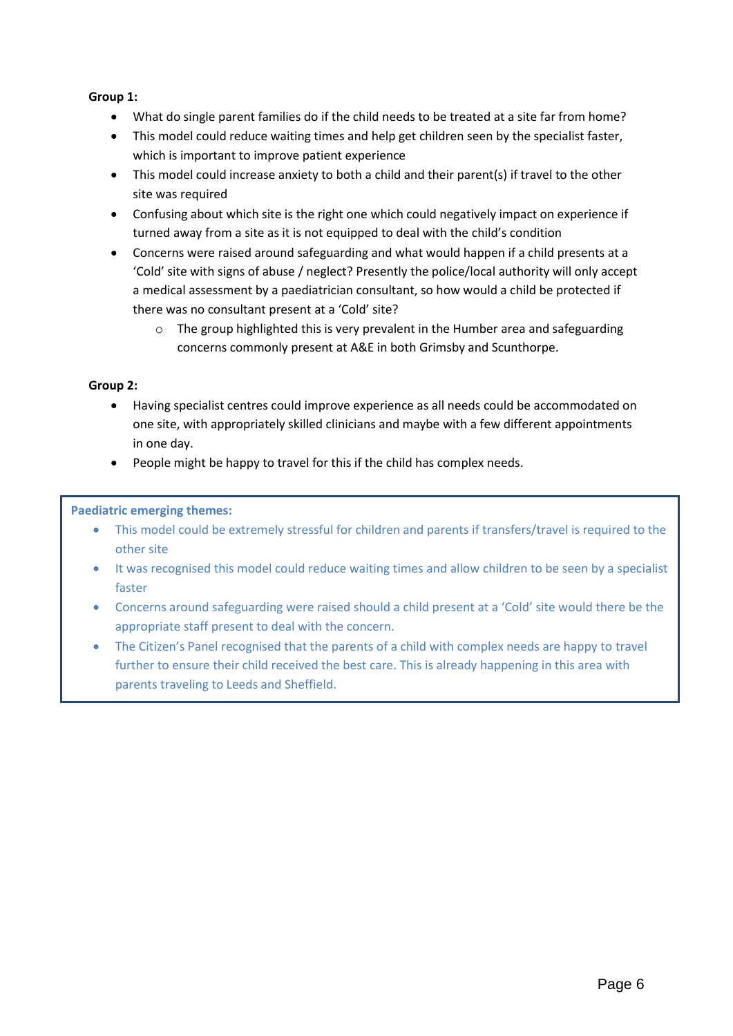## **Group 1:**

- What do single parent families do if the child needs to be treated at a site far from home?
- This model could reduce waiting times and help get children seen by the specialist faster, which is important to improve patient experience
- This model could increase anxiety to both a child and their parent(s) if travel to the other site was required
- Confusing about which site is the right one which could negatively impact on experience if turned away from a site as it is not equipped to deal with the child's condition
- Concerns were raised around safeguarding and what would happen if a child presents at a 'Cold' site with signs of abuse / neglect? Presently the police/local authority will only accept a medical assessment by a paediatrician consultant, so how would a child be protected if there was no consultant present at a 'Cold' site?
	- o The group highlighted this is very prevalent in the Humber area and safeguarding concerns commonly present at A&E in both Grimsby and Scunthorpe.

## **Group 2:**

- Having specialist centres could improve experience as all needs could be accommodated on one site, with appropriately skilled clinicians and maybe with a few different appointments in one day.
- People might be happy to travel for this if the child has complex needs.

- This model could be extremely stressful for children and parents if transfers/travel is required to the other site
- It was recognised this model could reduce waiting times and allow children to be seen by a specialist faster
- Concerns around safeguarding were raised should a child present at a 'Cold' site would there be the appropriate staff present to deal with the concern.
- The Citizen's Panel recognised that the parents of a child with complex needs are happy to travel further to ensure their child received the best care. This is already happening in this area with parents traveling to Leeds and Sheffield.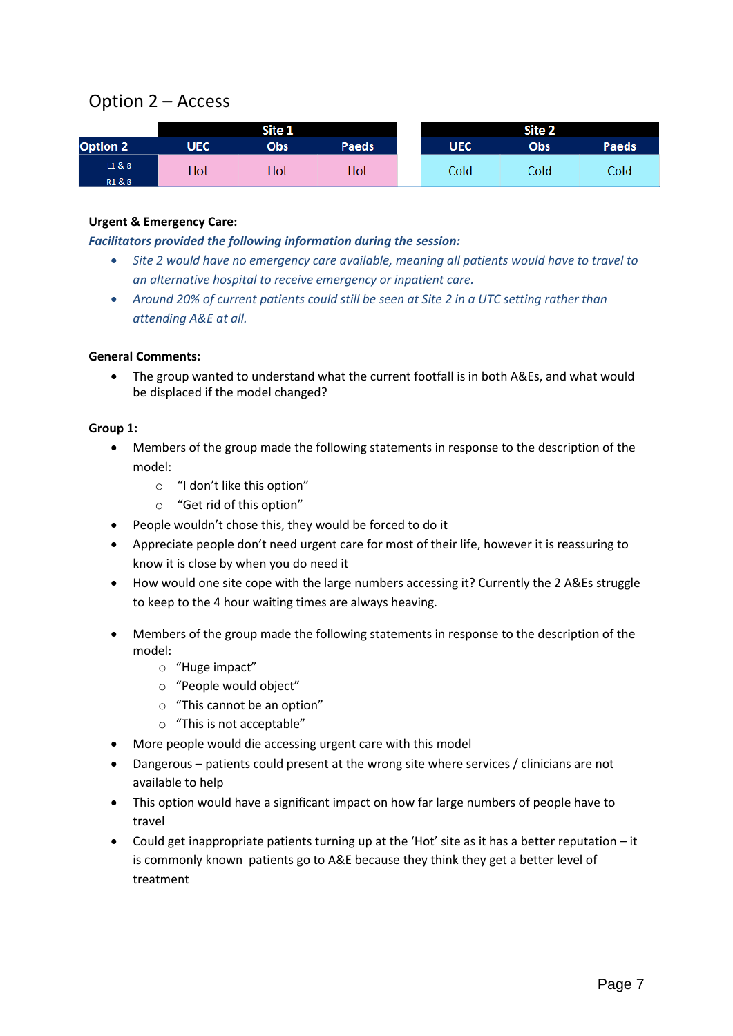## Option 2 – Access

|                 |            | Site 1 |       |            | Site 2 |              |
|-----------------|------------|--------|-------|------------|--------|--------------|
| <b>Option 2</b> | <b>UEC</b> | Obs    | Paeds | <b>UEC</b> | Obs    | <b>Paeds</b> |
| L1 & 8          | Hot        | Hot    | Hot   | Cold       | Cold   | Cold         |
| R1 & 8          |            |        |       |            |        |              |

## **Urgent & Emergency Care:**

## *Facilitators provided the following information during the session:*

- *Site 2 would have no emergency care available, meaning all patients would have to travel to an alternative hospital to receive emergency or inpatient care.*
- *Around 20% of current patients could still be seen at Site 2 in a UTC setting rather than attending A&E at all.*

## **General Comments:**

 The group wanted to understand what the current footfall is in both A&Es, and what would be displaced if the model changed?

## **Group 1:**

- Members of the group made the following statements in response to the description of the model:
	- o "I don't like this option"
	- o "Get rid of this option"
- People wouldn't chose this, they would be forced to do it
- Appreciate people don't need urgent care for most of their life, however it is reassuring to know it is close by when you do need it
- How would one site cope with the large numbers accessing it? Currently the 2 A&Es struggle to keep to the 4 hour waiting times are always heaving.
- Members of the group made the following statements in response to the description of the model:
	- o "Huge impact"
	- o "People would object"
	- o "This cannot be an option"
	- o "This is not acceptable"
- More people would die accessing urgent care with this model
- Dangerous patients could present at the wrong site where services / clinicians are not available to help
- This option would have a significant impact on how far large numbers of people have to travel
- Could get inappropriate patients turning up at the 'Hot' site as it has a better reputation it is commonly known patients go to A&E because they think they get a better level of treatment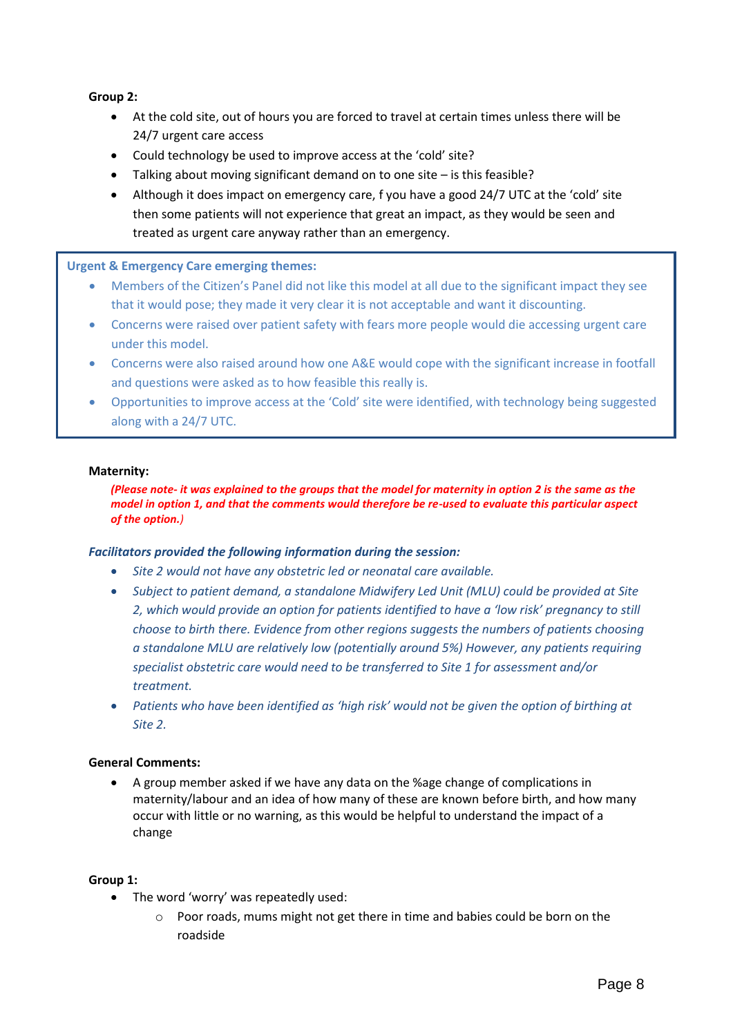## **Group 2:**

- At the cold site, out of hours you are forced to travel at certain times unless there will be 24/7 urgent care access
- Could technology be used to improve access at the 'cold' site?
- Talking about moving significant demand on to one site is this feasible?
- Although it does impact on emergency care, f you have a good 24/7 UTC at the 'cold' site then some patients will not experience that great an impact, as they would be seen and treated as urgent care anyway rather than an emergency.

## **Urgent & Emergency Care emerging themes:**

- Members of the Citizen's Panel did not like this model at all due to the significant impact they see that it would pose; they made it very clear it is not acceptable and want it discounting.
- Concerns were raised over patient safety with fears more people would die accessing urgent care under this model.
- Concerns were also raised around how one A&E would cope with the significant increase in footfall and questions were asked as to how feasible this really is.
- Opportunities to improve access at the 'Cold' site were identified, with technology being suggested along with a 24/7 UTC.

### **Maternity:**

*(Please note- it was explained to the groups that the model for maternity in option 2 is the same as the model in option 1, and that the comments would therefore be re-used to evaluate this particular aspect of the option.)*

### *Facilitators provided the following information during the session:*

- *Site 2 would not have any obstetric led or neonatal care available.*
- *Subject to patient demand, a standalone Midwifery Led Unit (MLU) could be provided at Site 2, which would provide an option for patients identified to have a 'low risk' pregnancy to still choose to birth there. Evidence from other regions suggests the numbers of patients choosing a standalone MLU are relatively low (potentially around 5%) However, any patients requiring specialist obstetric care would need to be transferred to Site 1 for assessment and/or treatment.*
- *Patients who have been identified as 'high risk' would not be given the option of birthing at Site 2.*

### **General Comments:**

 A group member asked if we have any data on the %age change of complications in maternity/labour and an idea of how many of these are known before birth, and how many occur with little or no warning, as this would be helpful to understand the impact of a change

### **Group 1:**

- The word 'worry' was repeatedly used:
	- o Poor roads, mums might not get there in time and babies could be born on the roadside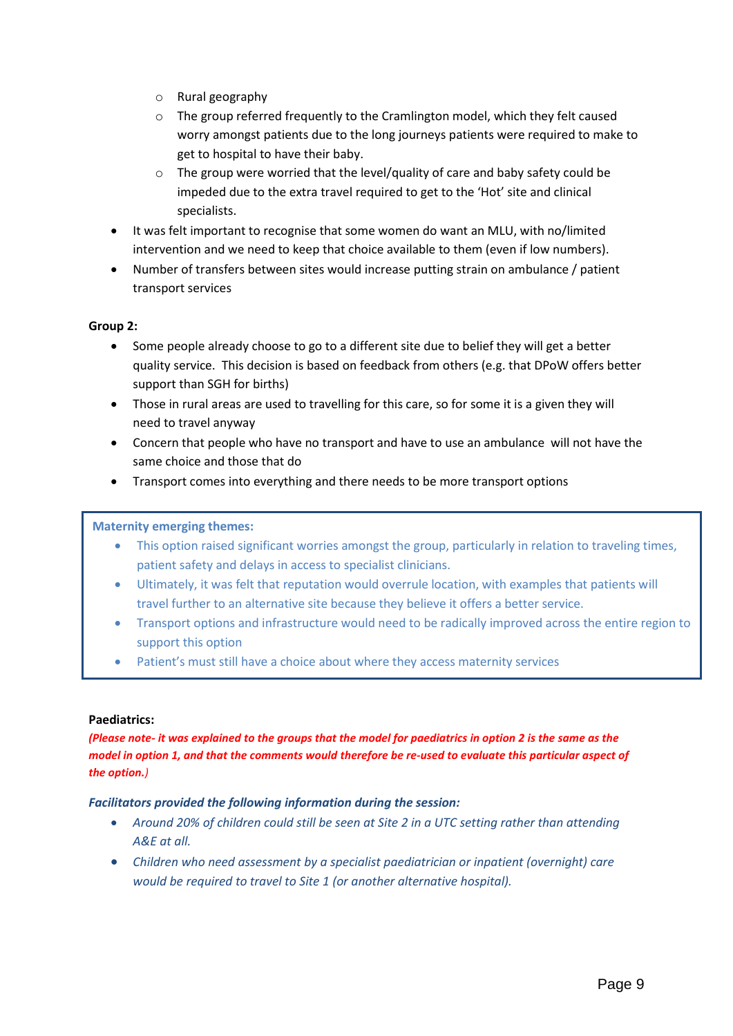- o Rural geography
- o The group referred frequently to the Cramlington model, which they felt caused worry amongst patients due to the long journeys patients were required to make to get to hospital to have their baby.
- o The group were worried that the level/quality of care and baby safety could be impeded due to the extra travel required to get to the 'Hot' site and clinical specialists.
- It was felt important to recognise that some women do want an MLU, with no/limited intervention and we need to keep that choice available to them (even if low numbers).
- Number of transfers between sites would increase putting strain on ambulance / patient transport services

## **Group 2:**

- Some people already choose to go to a different site due to belief they will get a better quality service. This decision is based on feedback from others (e.g. that DPoW offers better support than SGH for births)
- Those in rural areas are used to travelling for this care, so for some it is a given they will need to travel anyway
- Concern that people who have no transport and have to use an ambulance will not have the same choice and those that do
- Transport comes into everything and there needs to be more transport options

### **Maternity emerging themes:**

- This option raised significant worries amongst the group, particularly in relation to traveling times, patient safety and delays in access to specialist clinicians.
- Ultimately, it was felt that reputation would overrule location, with examples that patients will travel further to an alternative site because they believe it offers a better service.
- Transport options and infrastructure would need to be radically improved across the entire region to support this option
- **•** Patient's must still have a choice about where they access maternity services

## **Paediatrics:**

*(Please note- it was explained to the groups that the model for paediatrics in option 2 is the same as the model in option 1, and that the comments would therefore be re-used to evaluate this particular aspect of the option.)*

### *Facilitators provided the following information during the session:*

- *Around 20% of children could still be seen at Site 2 in a UTC setting rather than attending A&E at all.*
- *Children who need assessment by a specialist paediatrician or inpatient (overnight) care would be required to travel to Site 1 (or another alternative hospital).*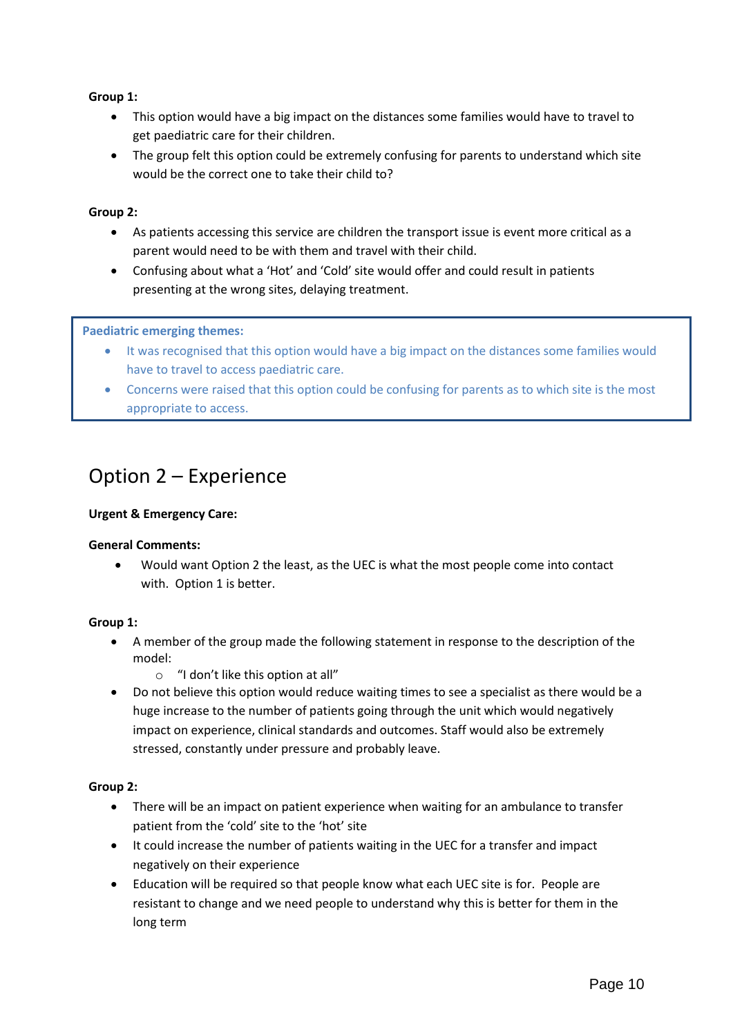## **Group 1:**

- This option would have a big impact on the distances some families would have to travel to get paediatric care for their children.
- The group felt this option could be extremely confusing for parents to understand which site would be the correct one to take their child to?

## **Group 2:**

- As patients accessing this service are children the transport issue is event more critical as a parent would need to be with them and travel with their child.
- Confusing about what a 'Hot' and 'Cold' site would offer and could result in patients presenting at the wrong sites, delaying treatment.

### **Paediatric emerging themes:**

- It was recognised that this option would have a big impact on the distances some families would have to travel to access paediatric care.
- Concerns were raised that this option could be confusing for parents as to which site is the most appropriate to access.

## Option 2 – Experience

## **Urgent & Emergency Care:**

### **General Comments:**

 Would want Option 2 the least, as the UEC is what the most people come into contact with. Option 1 is better.

### **Group 1:**

- A member of the group made the following statement in response to the description of the model:
	- o "I don't like this option at all"
- Do not believe this option would reduce waiting times to see a specialist as there would be a huge increase to the number of patients going through the unit which would negatively impact on experience, clinical standards and outcomes. Staff would also be extremely stressed, constantly under pressure and probably leave.

- There will be an impact on patient experience when waiting for an ambulance to transfer patient from the 'cold' site to the 'hot' site
- It could increase the number of patients waiting in the UEC for a transfer and impact negatively on their experience
- Education will be required so that people know what each UEC site is for. People are resistant to change and we need people to understand why this is better for them in the long term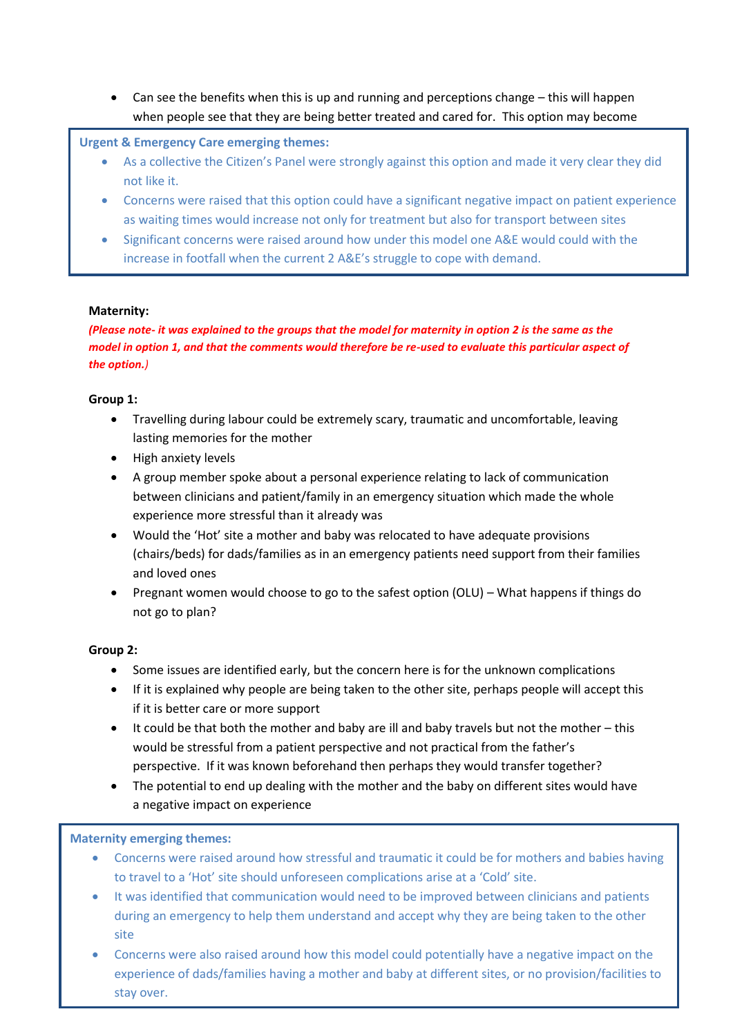Can see the benefits when this is up and running and perceptions change – this will happen when people see that they are being better treated and cared for. This option may become

## **Urgent & Emergency Care emerging themes:**

- As a collective the Citizen's Panel were strongly against this option and made it very clear they did not like it.
- Concerns were raised that this option could have a significant negative impact on patient experience as waiting times would increase not only for treatment but also for transport between sites
- Significant concerns were raised around how under this model one A&E would could with the increase in footfall when the current 2 A&E's struggle to cope with demand.

### **Maternity:**

*(Please note- it was explained to the groups that the model for maternity in option 2 is the same as the model in option 1, and that the comments would therefore be re-used to evaluate this particular aspect of the option.)*

## **Group 1:**

- Travelling during labour could be extremely scary, traumatic and uncomfortable, leaving lasting memories for the mother
- High anxiety levels
- A group member spoke about a personal experience relating to lack of communication between clinicians and patient/family in an emergency situation which made the whole experience more stressful than it already was
- Would the 'Hot' site a mother and baby was relocated to have adequate provisions (chairs/beds) for dads/families as in an emergency patients need support from their families and loved ones
- Pregnant women would choose to go to the safest option (OLU) What happens if things do not go to plan?

## **Group 2:**

- Some issues are identified early, but the concern here is for the unknown complications
- If it is explained why people are being taken to the other site, perhaps people will accept this if it is better care or more support
- It could be that both the mother and baby are ill and baby travels but not the mother this would be stressful from a patient perspective and not practical from the father's perspective. If it was known beforehand then perhaps they would transfer together?
- The potential to end up dealing with the mother and the baby on different sites would have a negative impact on experience

## **Maternity emerging themes:**

- Concerns were raised around how stressful and traumatic it could be for mothers and babies having to travel to a 'Hot' site should unforeseen complications arise at a 'Cold' site.
- It was identified that communication would need to be improved between clinicians and patients during an emergency to help them understand and accept why they are being taken to the other site
- experience of dads/families having a mother and baby at different sites, or no provision/facilities to<br>stay avar Concerns were also raised around how this model could potentially have a negative impact on the stay over.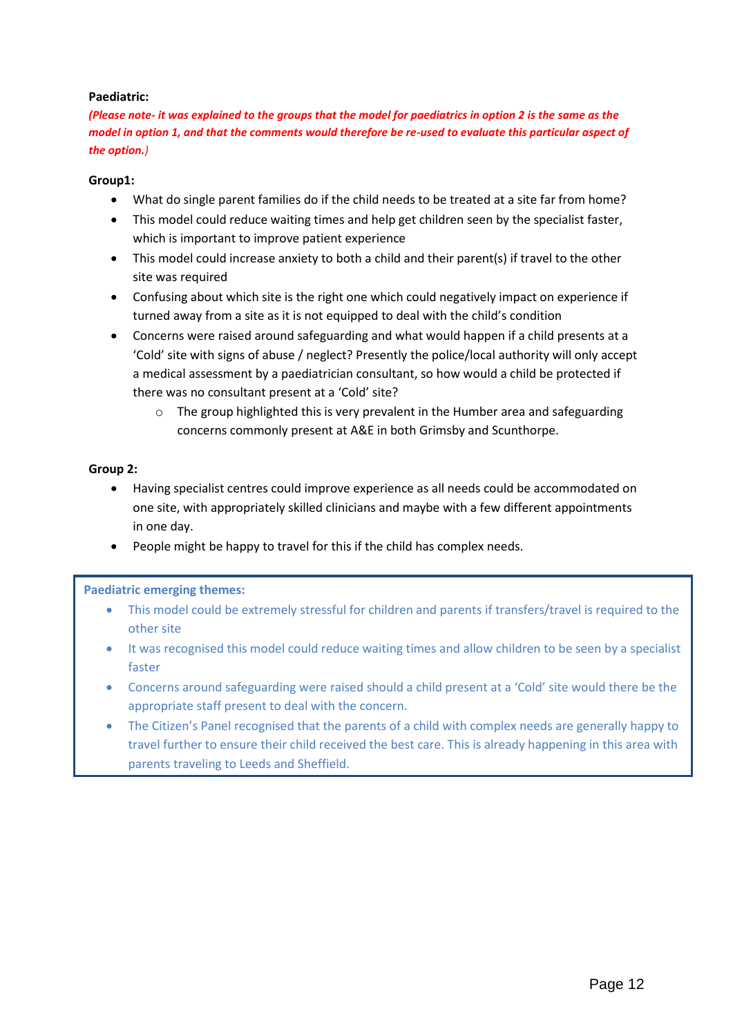## **Paediatric:**

*(Please note- it was explained to the groups that the model for paediatrics in option 2 is the same as the model in option 1, and that the comments would therefore be re-used to evaluate this particular aspect of the option.)*

## **Group1:**

- What do single parent families do if the child needs to be treated at a site far from home?
- This model could reduce waiting times and help get children seen by the specialist faster, which is important to improve patient experience
- This model could increase anxiety to both a child and their parent(s) if travel to the other site was required
- Confusing about which site is the right one which could negatively impact on experience if turned away from a site as it is not equipped to deal with the child's condition
- Concerns were raised around safeguarding and what would happen if a child presents at a 'Cold' site with signs of abuse / neglect? Presently the police/local authority will only accept a medical assessment by a paediatrician consultant, so how would a child be protected if there was no consultant present at a 'Cold' site?
	- $\circ$  The group highlighted this is very prevalent in the Humber area and safeguarding concerns commonly present at A&E in both Grimsby and Scunthorpe.

## **Group 2:**

- Having specialist centres could improve experience as all needs could be accommodated on one site, with appropriately skilled clinicians and maybe with a few different appointments in one day.
- People might be happy to travel for this if the child has complex needs.

- This model could be extremely stressful for children and parents if transfers/travel is required to the other site
- It was recognised this model could reduce waiting times and allow children to be seen by a specialist faster
- Concerns around safeguarding were raised should a child present at a 'Cold' site would there be the appropriate staff present to deal with the concern.
- The Citizen's Panel recognised that the parents of a child with complex needs are generally happy to travel further to ensure their child received the best care. This is already happening in this area with parents traveling to Leeds and Sheffield.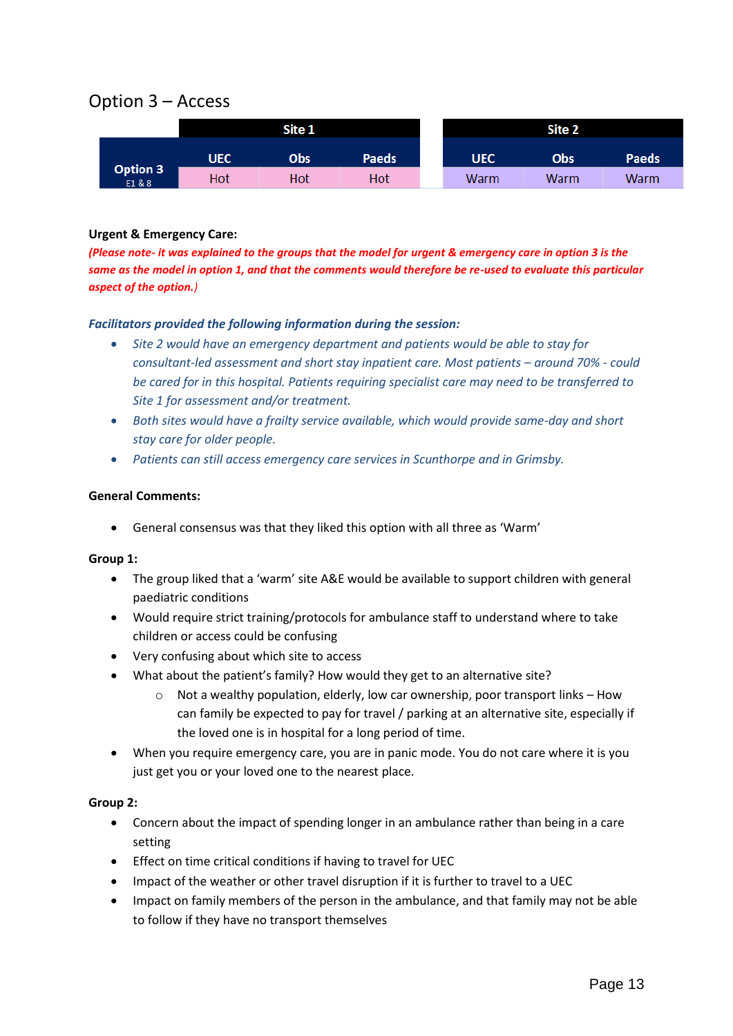## Option 3 – Access

|                    | Site 1     |            |              | Site 2     |            |       |  |
|--------------------|------------|------------|--------------|------------|------------|-------|--|
|                    | <b>UEC</b> | <b>Obs</b> | <b>Paeds</b> | <b>UEC</b> | <b>Obs</b> | Paeds |  |
| Option 3<br>E1 & 8 | Hot        | Hot        | Hot          | Warm       | Warm       | Warm  |  |

### **Urgent & Emergency Care:**

*(Please note- it was explained to the groups that the model for urgent & emergency care in option 3 is the same as the model in option 1, and that the comments would therefore be re-used to evaluate this particular aspect of the option.)*

## *Facilitators provided the following information during the session:*

- *Site 2 would have an emergency department and patients would be able to stay for consultant-led assessment and short stay inpatient care. Most patients – around 70% - could be cared for in this hospital. Patients requiring specialist care may need to be transferred to Site 1 for assessment and/or treatment.*
- *Both sites would have a frailty service available, which would provide same-day and short stay care for older people.*
- *Patients can still access emergency care services in Scunthorpe and in Grimsby.*

## **General Comments:**

General consensus was that they liked this option with all three as 'Warm'

### **Group 1:**

- The group liked that a 'warm' site A&E would be available to support children with general paediatric conditions
- Would require strict training/protocols for ambulance staff to understand where to take children or access could be confusing
- Very confusing about which site to access
- What about the patient's family? How would they get to an alternative site?
	- $\circ$  Not a wealthy population, elderly, low car ownership, poor transport links How can family be expected to pay for travel / parking at an alternative site, especially if the loved one is in hospital for a long period of time.
- When you require emergency care, you are in panic mode. You do not care where it is you just get you or your loved one to the nearest place.

- Concern about the impact of spending longer in an ambulance rather than being in a care setting
- Effect on time critical conditions if having to travel for UEC
- Impact of the weather or other travel disruption if it is further to travel to a UEC
- Impact on family members of the person in the ambulance, and that family may not be able to follow if they have no transport themselves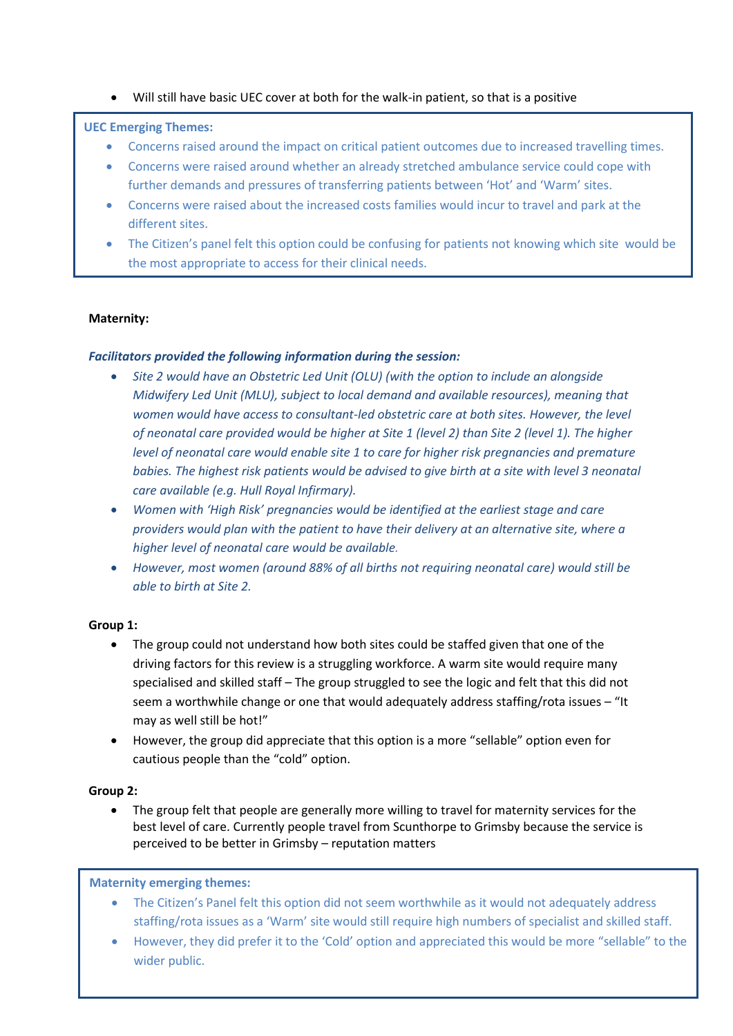## Will still have basic UEC cover at both for the walk-in patient, so that is a positive

#### Need to consider parking and the effect this has on time taken to access the service **UEC Emerging Themes:**

- Concerns raised around the impact on critical patient outcomes due to increased travelling times.
- Concerns were raised around whether an already stretched ambulance service could cope with further demands and pressures of transferring patients between 'Hot' and 'Warm' sites.
- Concerns were raised about the increased costs families would incur to travel and park at the different sites.
- The Citizen's panel felt this option could be confusing for patients not knowing which site would be the most appropriate to access for their clinical needs.

## **Maternity:**

## *Facilitators provided the following information during the session:*

- *Site 2 would have an Obstetric Led Unit (OLU) (with the option to include an alongside Midwifery Led Unit (MLU), subject to local demand and available resources), meaning that women would have access to consultant-led obstetric care at both sites. However, the level of neonatal care provided would be higher at Site 1 (level 2) than Site 2 (level 1). The higher level of neonatal care would enable site 1 to care for higher risk pregnancies and premature babies. The highest risk patients would be advised to give birth at a site with level 3 neonatal care available (e.g. Hull Royal Infirmary).*
- *Women with 'High Risk' pregnancies would be identified at the earliest stage and care providers would plan with the patient to have their delivery at an alternative site, where a higher level of neonatal care would be available.*
- *However, most women (around 88% of all births not requiring neonatal care) would still be able to birth at Site 2.*

## **Group 1:**

- The group could not understand how both sites could be staffed given that one of the driving factors for this review is a struggling workforce. A warm site would require many specialised and skilled staff – The group struggled to see the logic and felt that this did not seem a worthwhile change or one that would adequately address staffing/rota issues – "It may as well still be hot!"
- However, the group did appreciate that this option is a more "sellable" option even for cautious people than the "cold" option.

## **Group 2:**

 The group felt that people are generally more willing to travel for maternity services for the best level of care. Currently people travel from Scunthorpe to Grimsby because the service is perceived to be better in Grimsby – reputation matters

### **Maternity emerging themes:**

- The Citizen's Panel felt this option did not seem worthwhile as it would not adequately address staffing/rota issues as a 'Warm' site would still require high numbers of specialist and skilled staff.
- However, they did prefer it to the 'Cold' option and appreciated this would be more "sellable" to the wider public.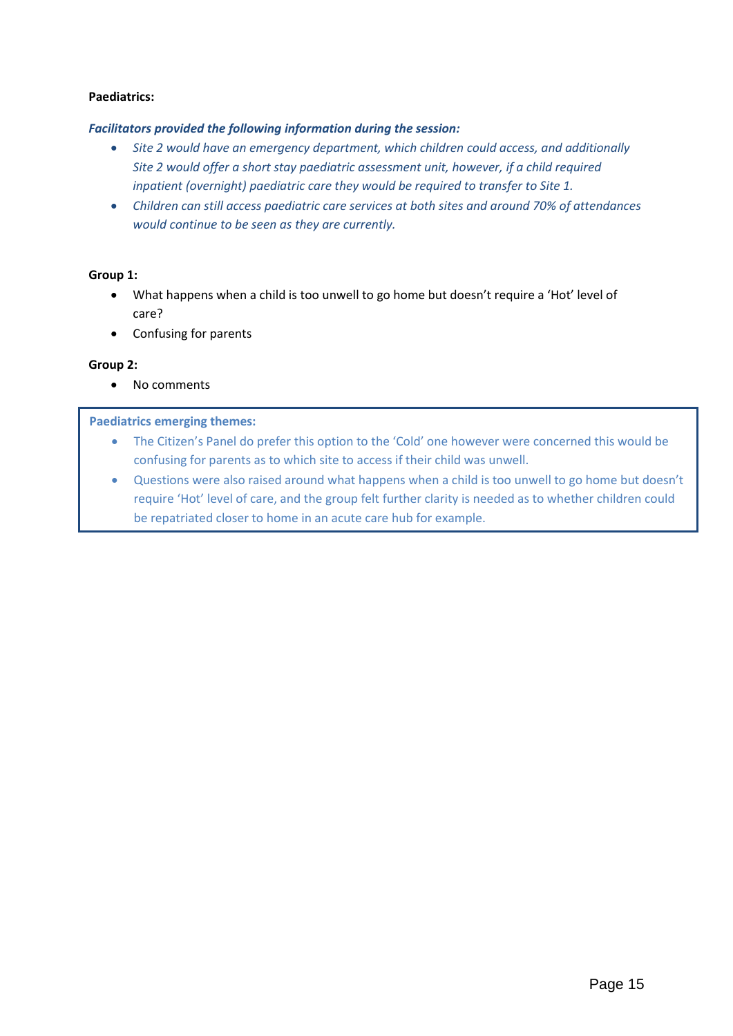## **Paediatrics:**

### *Facilitators provided the following information during the session:*

- *Site 2 would have an emergency department, which children could access, and additionally Site 2 would offer a short stay paediatric assessment unit, however, if a child required inpatient (overnight) paediatric care they would be required to transfer to Site 1.*
- *Children can still access paediatric care services at both sites and around 70% of attendances would continue to be seen as they are currently.*

### **Group 1:**

- What happens when a child is too unwell to go home but doesn't require a 'Hot' level of care?
- Confusing for parents

## **Group 2:**

• No comments

- The Citizen's Panel do prefer this option to the 'Cold' one however were concerned this would be confusing for parents as to which site to access if their child was unwell.
- Questions were also raised around what happens when a child is too unwell to go home but doesn't require 'Hot' level of care, and the group felt further clarity is needed as to whether children could be repatriated closer to home in an acute care hub for example.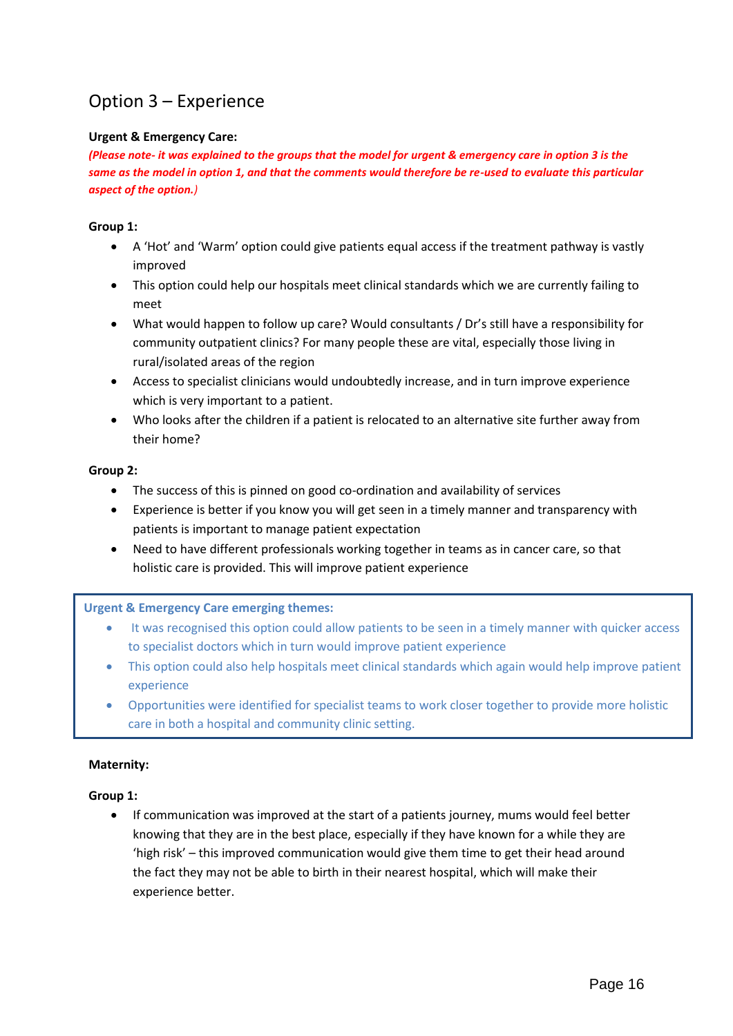## Option 3 – Experience

## **Urgent & Emergency Care:**

*(Please note- it was explained to the groups that the model for urgent & emergency care in option 3 is the same as the model in option 1, and that the comments would therefore be re-used to evaluate this particular aspect of the option.)*

### **Group 1:**

- A 'Hot' and 'Warm' option could give patients equal access if the treatment pathway is vastly improved
- This option could help our hospitals meet clinical standards which we are currently failing to meet
- What would happen to follow up care? Would consultants / Dr's still have a responsibility for community outpatient clinics? For many people these are vital, especially those living in rural/isolated areas of the region
- Access to specialist clinicians would undoubtedly increase, and in turn improve experience which is very important to a patient.
- Who looks after the children if a patient is relocated to an alternative site further away from their home?

### **Group 2:**

- The success of this is pinned on good co-ordination and availability of services
- Experience is better if you know you will get seen in a timely manner and transparency with patients is important to manage patient expectation
- Need to have different professionals working together in teams as in cancer care, so that holistic care is provided. This will improve patient experience

### **Urgent & Emergency Care emerging themes:**

- It was recognised this option could allow patients to be seen in a timely manner with quicker access to specialist doctors which in turn would improve patient experience
- This option could also help hospitals meet clinical standards which again would help improve patient experience
- Opportunities were identified for specialist teams to work closer together to provide more holistic care in both a hospital and community clinic setting.

### **Maternity:**

### **Group 1:**

 If communication was improved at the start of a patients journey, mums would feel better knowing that they are in the best place, especially if they have known for a while they are 'high risk' – this improved communication would give them time to get their head around the fact they may not be able to birth in their nearest hospital, which will make their experience better.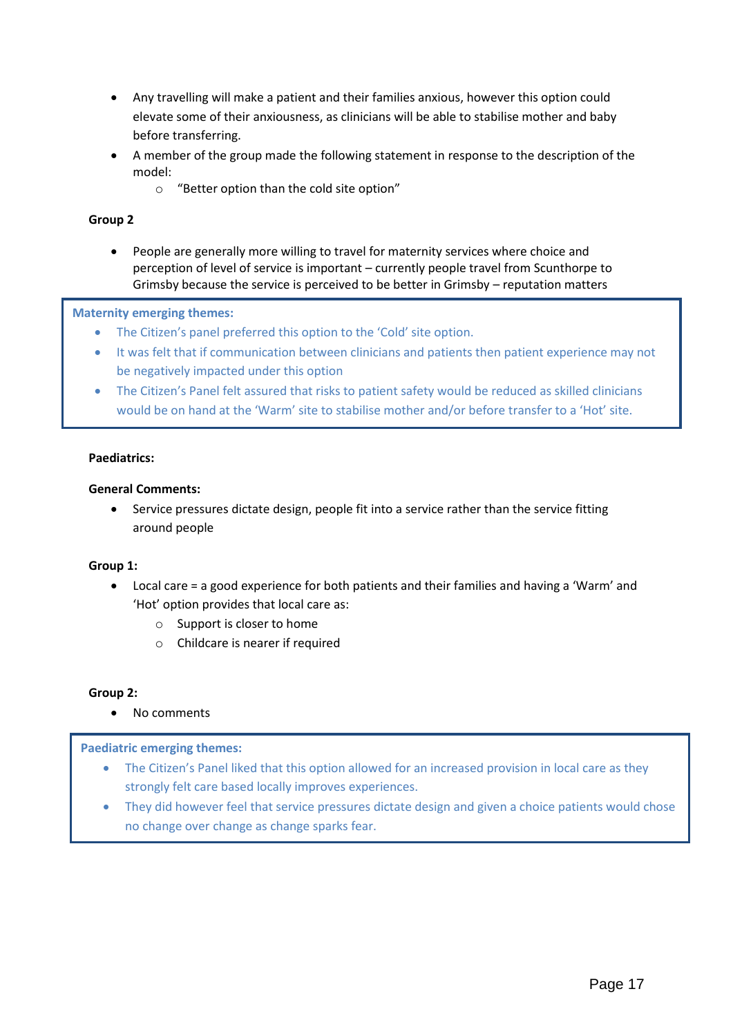- Any travelling will make a patient and their families anxious, however this option could elevate some of their anxiousness, as clinicians will be able to stabilise mother and baby before transferring.
- A member of the group made the following statement in response to the description of the model:
	- o "Better option than the cold site option"

## **Group 2**

 People are generally more willing to travel for maternity services where choice and perception of level of service is important – currently people travel from Scunthorpe to Grimsby because the service is perceived to be better in Grimsby – reputation matters

### **Maternity emerging themes:**

- The Citizen's panel preferred this option to the 'Cold' site option.
- It was felt that if communication between clinicians and patients then patient experience may not be negatively impacted under this option
- The Citizen's Panel felt assured that risks to patient safety would be reduced as skilled clinicians would be on hand at the 'Warm' site to stabilise mother and/or before transfer to a 'Hot' site.

### **Paediatrics:**

### **General Comments:**

 Service pressures dictate design, people fit into a service rather than the service fitting around people

### **Group 1:**

- Local care = a good experience for both patients and their families and having a 'Warm' and 'Hot' option provides that local care as:
	- o Support is closer to home
	- o Childcare is nearer if required

### **Group 2:**

• No comments

- The Citizen's Panel liked that this option allowed for an increased provision in local care as they strongly felt care based locally improves experiences.
- They did however feel that service pressures dictate design and given a choice patients would chose no change over change as change sparks fear.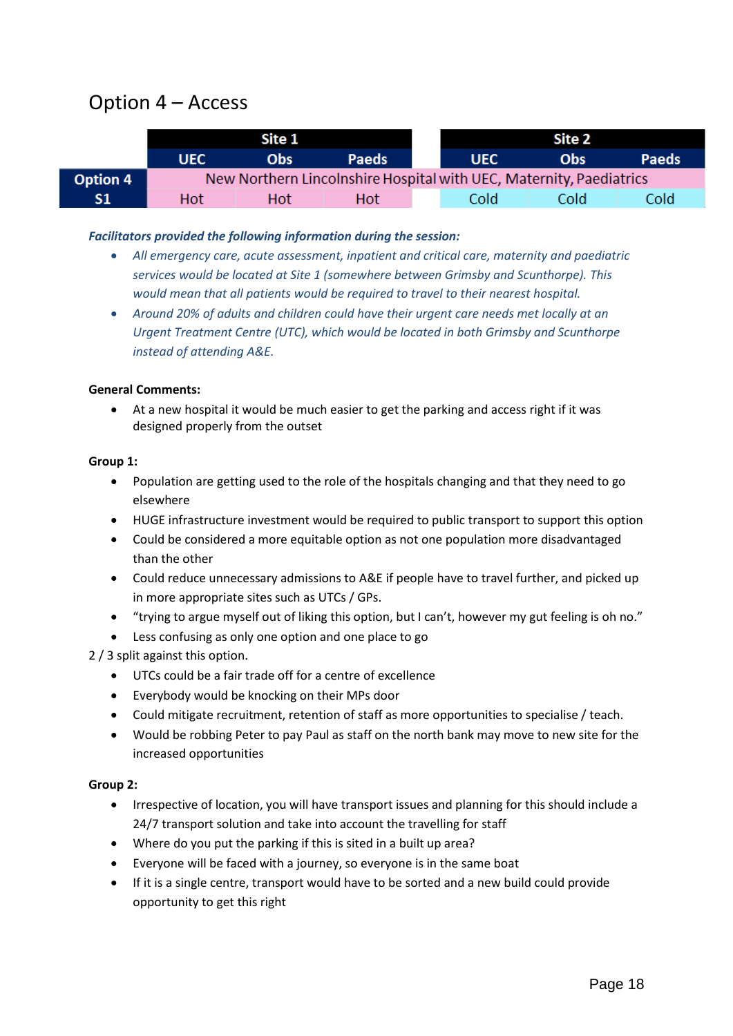## Option 4 – Access

|                 | Site 1                                                              |            |              |  | Site 2     |            |              |  |
|-----------------|---------------------------------------------------------------------|------------|--------------|--|------------|------------|--------------|--|
|                 | <b>UEC</b>                                                          | <b>Obs</b> | <b>Paeds</b> |  | <b>UEC</b> | <b>Obs</b> | <b>Paeds</b> |  |
| <b>Option 4</b> | New Northern Lincolnshire Hospital with UEC, Maternity, Paediatrics |            |              |  |            |            |              |  |
| <b>S1</b>       | Hot                                                                 | Hot        | Hot          |  | Cold       | Cold       | Cold         |  |

## *Facilitators provided the following information during the session:*

- *All emergency care, acute assessment, inpatient and critical care, maternity and paediatric services would be located at Site 1 (somewhere between Grimsby and Scunthorpe). This would mean that all patients would be required to travel to their nearest hospital.*
- *Around 20% of adults and children could have their urgent care needs met locally at an Urgent Treatment Centre (UTC), which would be located in both Grimsby and Scunthorpe instead of attending A&E.*

## **General Comments:**

 At a new hospital it would be much easier to get the parking and access right if it was designed properly from the outset

## **Group 1:**

- Population are getting used to the role of the hospitals changing and that they need to go elsewhere
- HUGE infrastructure investment would be required to public transport to support this option
- Could be considered a more equitable option as not one population more disadvantaged than the other
- Could reduce unnecessary admissions to A&E if people have to travel further, and picked up in more appropriate sites such as UTCs / GPs.
- "trying to argue myself out of liking this option, but I can't, however my gut feeling is oh no."
- Less confusing as only one option and one place to go

## 2 / 3 split against this option.

- UTCs could be a fair trade off for a centre of excellence
- Everybody would be knocking on their MPs door
- Could mitigate recruitment, retention of staff as more opportunities to specialise / teach.
- Would be robbing Peter to pay Paul as staff on the north bank may move to new site for the increased opportunities

- Irrespective of location, you will have transport issues and planning for this should include a 24/7 transport solution and take into account the travelling for staff
- Where do you put the parking if this is sited in a built up area?
- Everyone will be faced with a journey, so everyone is in the same boat
- If it is a single centre, transport would have to be sorted and a new build could provide opportunity to get this right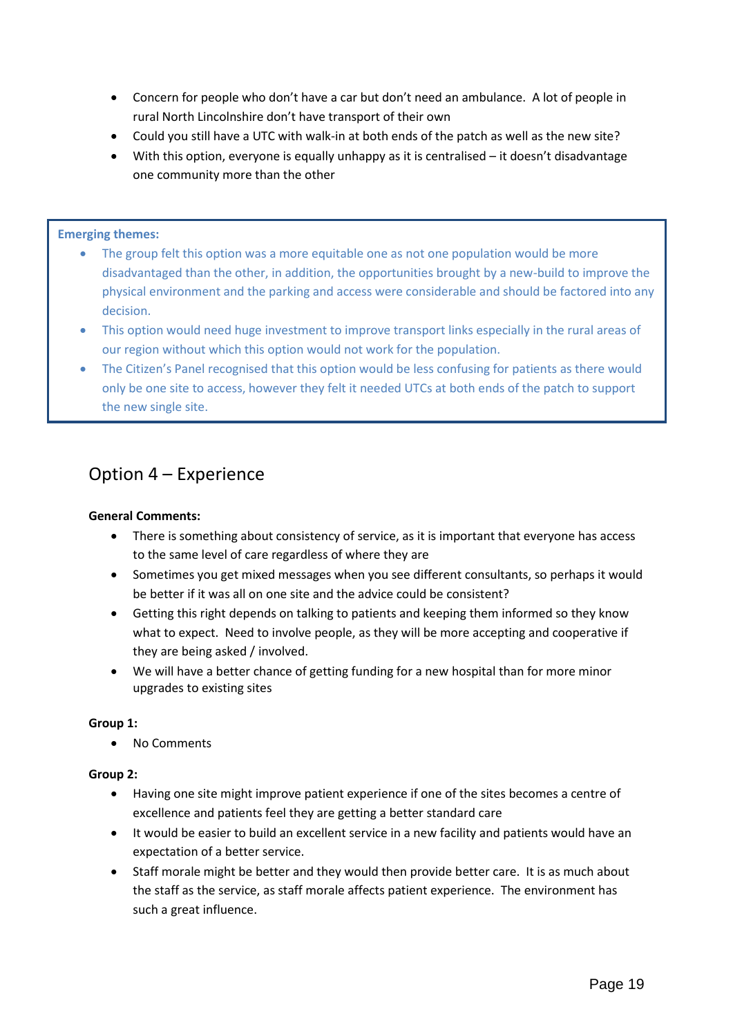- Concern for people who don't have a car but don't need an ambulance. A lot of people in rural North Lincolnshire don't have transport of their own
- Could you still have a UTC with walk-in at both ends of the patch as well as the new site?
- With this option, everyone is equally unhappy as it is centralised it doesn't disadvantage one community more than the other

## **Emerging themes:**

- The group felt this option was a more equitable one as not one population would be more disadvantaged than the other, in addition, the opportunities brought by a new-build to improve the physical environment and the parking and access were considerable and should be factored into any decision.
- This option would need huge investment to improve transport links especially in the rural areas of our region without which this option would not work for the population.
- The Citizen's Panel recognised that this option would be less confusing for patients as there would only be one site to access, however they felt it needed UTCs at both ends of the patch to support the new single site.

## Option 4 – Experience

## **General Comments:**

- There is something about consistency of service, as it is important that everyone has access to the same level of care regardless of where they are
- Sometimes you get mixed messages when you see different consultants, so perhaps it would be better if it was all on one site and the advice could be consistent?
- Getting this right depends on talking to patients and keeping them informed so they know what to expect. Need to involve people, as they will be more accepting and cooperative if they are being asked / involved.
- We will have a better chance of getting funding for a new hospital than for more minor upgrades to existing sites

### **Group 1:**

• No Comments

- Having one site might improve patient experience if one of the sites becomes a centre of excellence and patients feel they are getting a better standard care
- It would be easier to build an excellent service in a new facility and patients would have an expectation of a better service.
- Staff morale might be better and they would then provide better care. It is as much about the staff as the service, as staff morale affects patient experience. The environment has such a great influence.